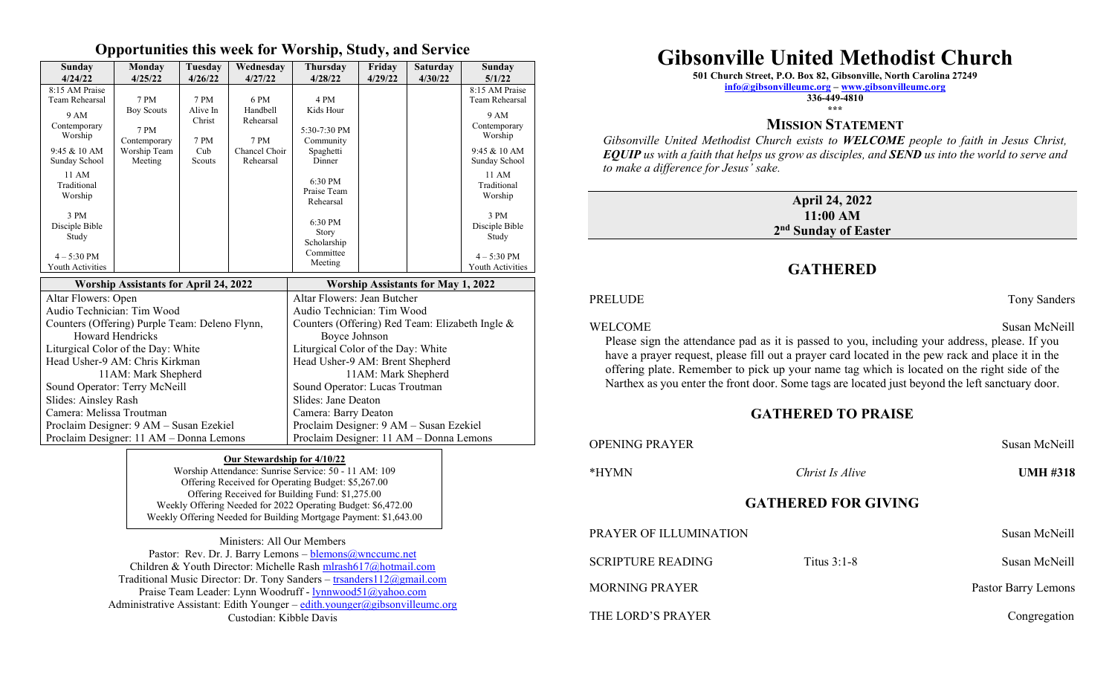#### **Opportunities this week for Worship, Study, and Service**

| Sunday<br>4/24/22                                    | Monday<br>4/25/22                         | Tuesday<br>4/26/22         | Wednesday<br>4/27/22                            | <b>Thursday</b><br>4/28/22                            | Friday<br>4/29/22 | <b>Saturday</b><br>4/30/22 | Sunday<br>5/1/22                        |
|------------------------------------------------------|-------------------------------------------|----------------------------|-------------------------------------------------|-------------------------------------------------------|-------------------|----------------------------|-----------------------------------------|
| 8:15 AM Praise<br><b>Team Rehearsal</b>              | 7 PM                                      | 7 PM                       | 6 PM                                            | 4 PM                                                  |                   |                            | 8:15 AM Praise<br><b>Team Rehearsal</b> |
| 9 AM<br>Contemporary<br>Worship                      | <b>Boy Scouts</b><br>7 PM<br>Contemporary | Alive In<br>Christ<br>7 PM | Handbell<br>Rehearsal<br>7 PM                   | Kids Hour<br>5:30-7:30 PM<br>Community                |                   |                            | 9 AM<br>Contemporary<br>Worship         |
| $9:45 & 10$ AM<br>Sunday School                      | Worship Team<br>Meeting                   | Cub<br>Scouts              | Chancel Choir<br>Rehearsal                      | Spaghetti<br>Dinner                                   |                   |                            | $9:45 & 10$ AM<br>Sunday School         |
| 11 AM<br>Traditional<br>Worship                      |                                           |                            |                                                 | 6:30 PM<br>Praise Team<br>Rehearsal                   |                   |                            | 11 AM<br>Traditional<br>Worship         |
| 3 PM<br>Disciple Bible<br>Study                      |                                           |                            |                                                 | 6:30 PM<br>Story<br>Scholarship                       |                   |                            | 3 PM<br>Disciple Bible<br>Study         |
| $4 - 5:30$ PM<br>Youth Activities                    |                                           |                            |                                                 | Committee<br>Meeting                                  |                   |                            | $4 - 5:30$ PM<br>Youth Activities       |
| <b>Worship Assistants for April 24, 2022</b>         |                                           |                            |                                                 | <b>Worship Assistants for May 1, 2022</b>             |                   |                            |                                         |
| Altar Flowers: Open                                  |                                           |                            |                                                 | Altar Flowers: Jean Butcher                           |                   |                            |                                         |
| Audio Technician: Tim Wood                           |                                           |                            |                                                 | Audio Technician: Tim Wood                            |                   |                            |                                         |
| Counters (Offering) Purple Team: Deleno Flynn,       |                                           |                            | Counters (Offering) Red Team: Elizabeth Ingle & |                                                       |                   |                            |                                         |
| <b>Howard Hendricks</b>                              |                                           |                            | Boyce Johnson                                   |                                                       |                   |                            |                                         |
| Liturgical Color of the Day: White                   |                                           |                            | Liturgical Color of the Day: White              |                                                       |                   |                            |                                         |
| Head Usher-9 AM: Chris Kirkman                       |                                           |                            |                                                 | Head Usher-9 AM: Brent Shepherd                       |                   |                            |                                         |
| 11AM: Mark Shepherd<br>Sound Operator: Terry McNeill |                                           |                            |                                                 | 11AM: Mark Shepherd<br>Sound Operator: Lucas Troutman |                   |                            |                                         |
| Slides: Ainsley Rash                                 |                                           |                            | Slides: Jane Deaton                             |                                                       |                   |                            |                                         |
| Camera: Melissa Troutman                             |                                           |                            |                                                 | Camera: Barry Deaton                                  |                   |                            |                                         |
| Proclaim Designer: 9 AM - Susan Ezekiel              |                                           |                            |                                                 | Proclaim Designer: 9 AM - Susan Ezekiel               |                   |                            |                                         |
| Proclaim Designer: 11 AM - Donna Lemons              |                                           |                            |                                                 | Proclaim Designer: 11 AM - Donna Lemons               |                   |                            |                                         |

#### **Our Stewardship for 4/10/22**

Worship Attendance: Sunrise Service: 50 - 11 AM: 109 Offering Received for Operating Budget: \$5,267.00 Offering Received for Building Fund: \$1,275.00 Weekly Offering Needed for 2022 Operating Budget: \$6,472.00 Weekly Offering Needed for Building Mortgage Payment: \$1,643.00

Ministers: All Our Members Pastor: Rev. Dr. J. Barry Lemons  $-\text{blemos}\textcircled{a}$  wnccumc.net Children & Youth Director: Michelle Rash [mlrash617@hotmail.com](mailto:mlrash617@hotmail.com) Traditional Music Director: Dr. Tony Sanders – trsanders 112@gmail.com Praise Team Leader: Lynn Woodruff - [lynnwood51@yahoo.com](mailto:lynnwood51@yahoo.com) Administrative Assistant: Edith Younger – [edith.younger@gibsonvilleumc.org](mailto:edith.younger@gibsonvilleumc.org) Custodian: Kibble Davis

# **Gibsonville United Methodist Church**

**501 Church Street, P.O. Box 82, Gibsonville, North Carolina 27249**

**[info@gibsonvilleumc.org](mailto:info@gibsonvilleumc.org) – [www.gibsonvilleumc.org](http://www.gibsonvilleumc.org/)**

**336-449-4810 \*\*\***

#### **MISSION STATEMENT**

*Gibsonville United Methodist Church exists to WELCOME people to faith in Jesus Christ, EQUIP us with a faith that helps us grow as disciples, and SEND us into the world to serve and to make a difference for Jesus' sake.*

#### **April 24, 2022 11:00 AM 2 nd Sunday of Easter**

## **GATHERED**

PRELUDE Tony Sanders

WELCOME Susan McNeill Please sign the attendance pad as it is passed to you, including your address, please. If you have a prayer request, please fill out a prayer card located in the pew rack and place it in the offering plate. Remember to pick up your name tag which is located on the right side of the Narthex as you enter the front door. Some tags are located just beyond the left sanctuary door.

#### **GATHERED TO PRAISE**

| <b>OPENING PRAYER</b>         | Susan McNeill   |                     |  |  |  |  |
|-------------------------------|-----------------|---------------------|--|--|--|--|
| *HYMN                         | Christ Is Alive | <b>UMH #318</b>     |  |  |  |  |
| <b>GATHERED FOR GIVING</b>    |                 |                     |  |  |  |  |
| <b>PRAYER OF ILLUMINATION</b> |                 | Susan McNeill       |  |  |  |  |
| <b>SCRIPTURE READING</b>      | Titus $3:1-8$   | Susan McNeill       |  |  |  |  |
| <b>MORNING PRAYER</b>         |                 | Pastor Barry Lemons |  |  |  |  |
| THE LORD'S PRAYER             |                 | Congregation        |  |  |  |  |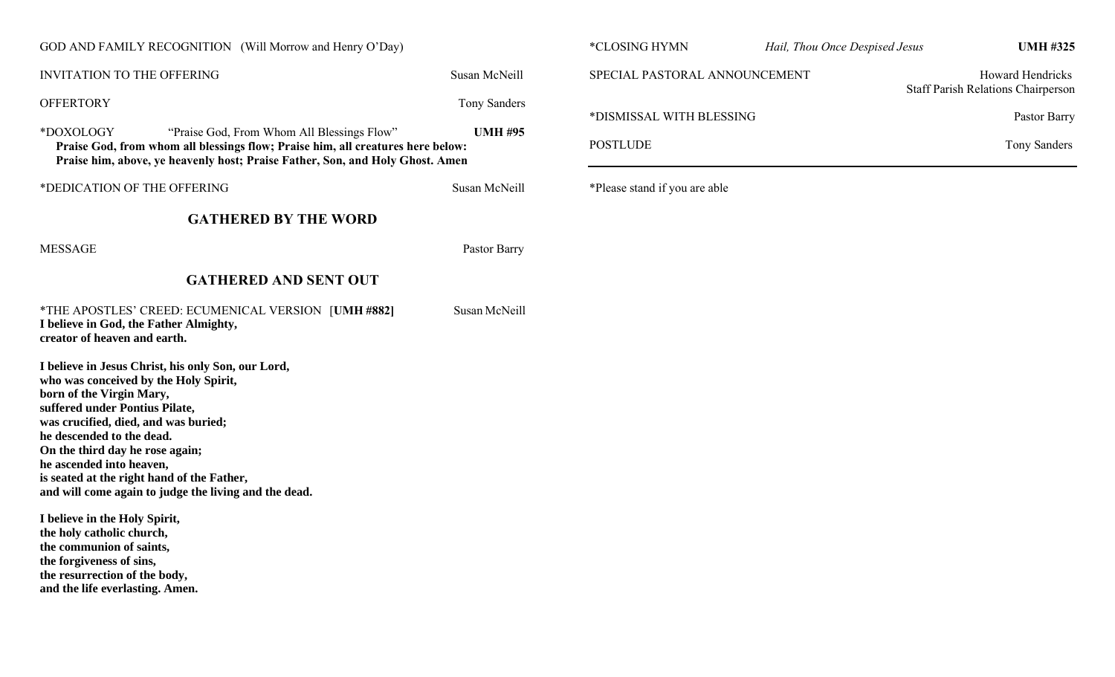| GOD AND FAMILY RECOGNITION (Will Morrow and Henry O'Day)                                                                                                                                                                                                                                                                                                                                             |                     | *CLOSING HYMN                 | <b>UMH #325</b><br>Hail, Thou Once Despised Jesus |                                                           |  |
|------------------------------------------------------------------------------------------------------------------------------------------------------------------------------------------------------------------------------------------------------------------------------------------------------------------------------------------------------------------------------------------------------|---------------------|-------------------------------|---------------------------------------------------|-----------------------------------------------------------|--|
| <b>INVITATION TO THE OFFERING</b>                                                                                                                                                                                                                                                                                                                                                                    | Susan McNeill       | SPECIAL PASTORAL ANNOUNCEMENT |                                                   | Howard Hendricks                                          |  |
| <b>OFFERTORY</b>                                                                                                                                                                                                                                                                                                                                                                                     | <b>Tony Sanders</b> | *DISMISSAL WITH BLESSING      |                                                   | <b>Staff Parish Relations Chairperson</b><br>Pastor Barry |  |
| *DOXOLOGY<br>"Praise God, From Whom All Blessings Flow"<br>Praise God, from whom all blessings flow; Praise him, all creatures here below:<br>Praise him, above, ye heavenly host; Praise Father, Son, and Holy Ghost. Amen                                                                                                                                                                          | <b>UMH #95</b>      | <b>POSTLUDE</b>               |                                                   | <b>Tony Sanders</b>                                       |  |
| *DEDICATION OF THE OFFERING                                                                                                                                                                                                                                                                                                                                                                          | Susan McNeill       | *Please stand if you are able |                                                   |                                                           |  |
| <b>GATHERED BY THE WORD</b>                                                                                                                                                                                                                                                                                                                                                                          |                     |                               |                                                   |                                                           |  |
| <b>MESSAGE</b>                                                                                                                                                                                                                                                                                                                                                                                       | Pastor Barry        |                               |                                                   |                                                           |  |
| <b>GATHERED AND SENT OUT</b>                                                                                                                                                                                                                                                                                                                                                                         |                     |                               |                                                   |                                                           |  |
| *THE APOSTLES' CREED: ECUMENICAL VERSION [UMH #882]<br>I believe in God, the Father Almighty,<br>creator of heaven and earth.                                                                                                                                                                                                                                                                        | Susan McNeill       |                               |                                                   |                                                           |  |
| I believe in Jesus Christ, his only Son, our Lord,<br>who was conceived by the Holy Spirit,<br>born of the Virgin Mary,<br>suffered under Pontius Pilate,<br>was crucified, died, and was buried;<br>he descended to the dead.<br>On the third day he rose again;<br>he ascended into heaven,<br>is seated at the right hand of the Father,<br>and will come again to judge the living and the dead. |                     |                               |                                                   |                                                           |  |
| I believe in the Holy Spirit,<br>the holy catholic church,<br>the communion of saints,<br>the forgiveness of sins,<br>the resurrection of the body,<br>and the life everlasting. Amen.                                                                                                                                                                                                               |                     |                               |                                                   |                                                           |  |